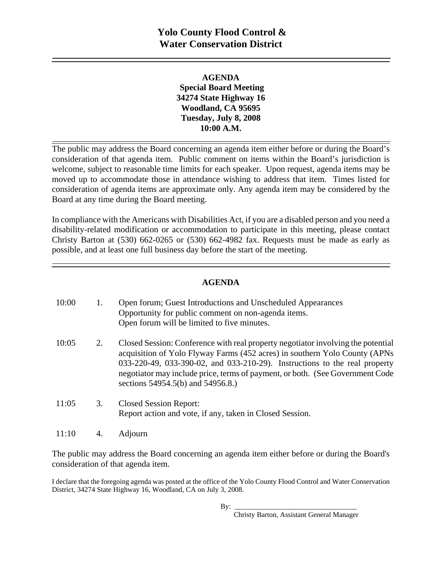### **AGENDA Special Board Meeting 34274 State Highway 16 Woodland, CA 95695 Tuesday, July 8, 2008 10:00 A.M.**

The public may address the Board concerning an agenda item either before or during the Board's consideration of that agenda item. Public comment on items within the Board's jurisdiction is welcome, subject to reasonable time limits for each speaker. Upon request, agenda items may be moved up to accommodate those in attendance wishing to address that item. Times listed for consideration of agenda items are approximate only. Any agenda item may be considered by the Board at any time during the Board meeting.

In compliance with the Americans with Disabilities Act, if you are a disabled person and you need a disability-related modification or accommodation to participate in this meeting, please contact Christy Barton at (530) 662-0265 or (530) 662-4982 fax. Requests must be made as early as possible, and at least one full business day before the start of the meeting.

### **AGENDA**

| 10:00 |    | Open forum; Guest Introductions and Unscheduled Appearances<br>Opportunity for public comment on non-agenda items.<br>Open forum will be limited to five minutes.                                                                                                                                                                                                   |
|-------|----|---------------------------------------------------------------------------------------------------------------------------------------------------------------------------------------------------------------------------------------------------------------------------------------------------------------------------------------------------------------------|
| 10:05 | 2. | Closed Session: Conference with real property negotiator involving the potential<br>acquisition of Yolo Flyway Farms (452 acres) in southern Yolo County (APNs<br>033-220-49, 033-390-02, and 033-210-29). Instructions to the real property<br>negotiator may include price, terms of payment, or both. (See Government Code)<br>sections 54954.5(b) and 54956.8.) |
| 11:05 | 3. | <b>Closed Session Report:</b><br>Report action and vote, if any, taken in Closed Session.                                                                                                                                                                                                                                                                           |
| 11:10 |    | Adjourn                                                                                                                                                                                                                                                                                                                                                             |

The public may address the Board concerning an agenda item either before or during the Board's consideration of that agenda item.

I declare that the foregoing agenda was posted at the office of the Yolo County Flood Control and Water Conservation District, 34274 State Highway 16, Woodland, CA on July 3, 2008.

By: \_\_\_\_\_\_\_\_\_\_\_\_\_\_\_\_\_\_\_\_\_\_\_\_\_\_\_\_\_\_\_\_\_\_

Christy Barton, Assistant General Manager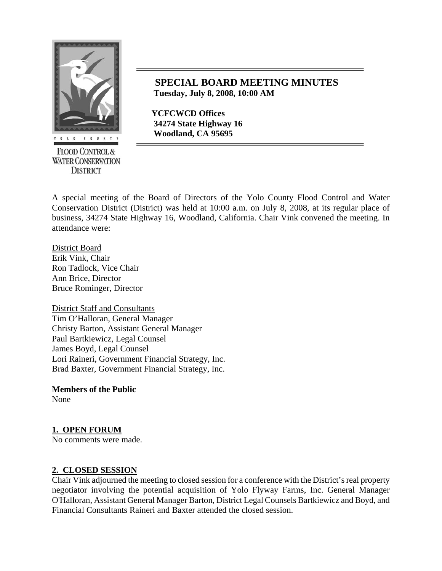

**FLOOD CONTROL & WATER CONSERVATION DISTRICT** 

## **SPECIAL BOARD MEETING MINUTES Tuesday, July 8, 2008, 10:00 AM**

 **YCFCWCD Offices 34274 State Highway 16** 

A special meeting of the Board of Directors of the Yolo County Flood Control and Water Conservation District (District) was held at 10:00 a.m. on July 8, 2008, at its regular place of business, 34274 State Highway 16, Woodland, California. Chair Vink convened the meeting. In attendance were:

District Board Erik Vink, Chair Ron Tadlock, Vice Chair Ann Brice, Director Bruce Rominger, Director

District Staff and Consultants Tim O'Halloran, General Manager Christy Barton, Assistant General Manager Paul Bartkiewicz, Legal Counsel James Boyd, Legal Counsel Lori Raineri, Government Financial Strategy, Inc. Brad Baxter, Government Financial Strategy, Inc.

**Members of the Public** 

None

## **1. OPEN FORUM**

No comments were made.

### **2. CLOSED SESSION**

Chair Vink adjourned the meeting to closed session for a conference with the District's real property negotiator involving the potential acquisition of Yolo Flyway Farms, Inc. General Manager O'Halloran, Assistant General Manager Barton, District Legal Counsels Bartkiewicz and Boyd, and Financial Consultants Raineri and Baxter attended the closed session.